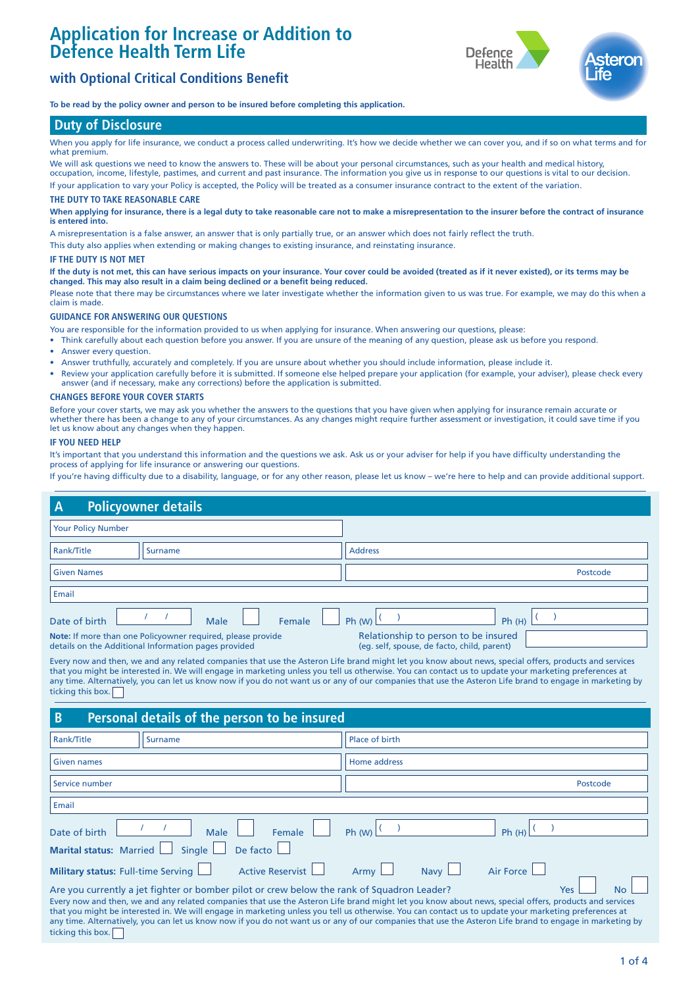# **Application for Increase or Addition to Defence Health Term Life**





**To be read by the policy owner and person to be insured before completing this application.**

# **Duty of Disclosure**

When you apply for life insurance, we conduct a process called underwriting. It's how we decide whether we can cover you, and if so on what terms and for what premium.

We will ask questions we need to know the answers to. These will be about your personal circumstances, such as your health and medical history, occupation, income, lifestyle, pastimes, and current and past insurance. The information you give us in response to our questions is vital to our decision. If your application to vary your Policy is accepted, the Policy will be treated as a consumer insurance contract to the extent of the variation.

#### **THE DUTY TO TAKE REASONABLE CARE**

**When applying for insurance, there is a legal duty to take reasonable care not to make a misrepresentation to the insurer before the contract of insurance is entered into.** 

A misrepresentation is a false answer, an answer that is only partially true, or an answer which does not fairly reflect the truth.

This duty also applies when extending or making changes to existing insurance, and reinstating insurance.

#### **IF THE DUTY IS NOT MET**

**If the duty is not met, this can have serious impacts on your insurance. Your cover could be avoided (treated as if it never existed), or its terms may be changed. This may also result in a claim being declined or a benefit being reduced.** 

Please note that there may be circumstances where we later investigate whether the information given to us was true. For example, we may do this when a claim is made.

# **GUIDANCE FOR ANSWERING OUR QUESTIONS**

You are responsible for the information provided to us when applying for insurance. When answering our questions, please:

- Think carefully about each question before you answer. If you are unsure of the meaning of any question, please ask us before you respond.
- Answer every question.
- Answer truthfully, accurately and completely. If you are unsure about whether you should include information, please include it.
- Review your application carefully before it is submitted. If someone else helped prepare your application (for example, your adviser), please check every answer (and if necessary, make any corrections) before the application is submitted.

## **CHANGES BEFORE YOUR COVER STARTS**

Before your cover starts, we may ask you whether the answers to the questions that you have given when applying for insurance remain accurate or whether there has been a change to any of your circumstances. As any changes might require further assessment or investigation, it could save time if you let us know about any changes when they happen.

## **IF YOU NEED HELP**

It's important that you understand this information and the questions we ask. Ask us or your adviser for help if you have difficulty understanding the process of applying for life insurance or answering our questions.

If you're having difficulty due to a disability, language, or for any other reason, please let us know – we're here to help and can provide additional support.

| $\overline{A}$                                                 | <b>Policyowner details</b>                                                                                                                                                                                 |                         |                                                                                                                                                                                                                                                                                                                                                                                                                                                                                                                                                                                                                                         |  |  |  |  |  |  |
|----------------------------------------------------------------|------------------------------------------------------------------------------------------------------------------------------------------------------------------------------------------------------------|-------------------------|-----------------------------------------------------------------------------------------------------------------------------------------------------------------------------------------------------------------------------------------------------------------------------------------------------------------------------------------------------------------------------------------------------------------------------------------------------------------------------------------------------------------------------------------------------------------------------------------------------------------------------------------|--|--|--|--|--|--|
| <b>Your Policy Number</b>                                      |                                                                                                                                                                                                            |                         |                                                                                                                                                                                                                                                                                                                                                                                                                                                                                                                                                                                                                                         |  |  |  |  |  |  |
| Rank/Title                                                     | <b>Surname</b>                                                                                                                                                                                             |                         | <b>Address</b>                                                                                                                                                                                                                                                                                                                                                                                                                                                                                                                                                                                                                          |  |  |  |  |  |  |
| <b>Given Names</b>                                             |                                                                                                                                                                                                            |                         | Postcode                                                                                                                                                                                                                                                                                                                                                                                                                                                                                                                                                                                                                                |  |  |  |  |  |  |
| Email                                                          |                                                                                                                                                                                                            |                         |                                                                                                                                                                                                                                                                                                                                                                                                                                                                                                                                                                                                                                         |  |  |  |  |  |  |
| Date of birth                                                  | Male                                                                                                                                                                                                       | Female                  | Ph (W)<br>Ph(H)                                                                                                                                                                                                                                                                                                                                                                                                                                                                                                                                                                                                                         |  |  |  |  |  |  |
|                                                                | Relationship to person to be insured<br>Note: If more than one Policyowner required, please provide<br>details on the Additional Information pages provided<br>(eq. self, spouse, de facto, child, parent) |                         |                                                                                                                                                                                                                                                                                                                                                                                                                                                                                                                                                                                                                                         |  |  |  |  |  |  |
| ticking this box.                                              |                                                                                                                                                                                                            |                         | Every now and then, we and any related companies that use the Asteron Life brand might let you know about news, special offers, products and services<br>that you might be interested in. We will engage in marketing unless you tell us otherwise. You can contact us to update your marketing preferences at<br>any time. Alternatively, you can let us know now if you do not want us or any of our companies that use the Asteron Life brand to engage in marketing by                                                                                                                                                              |  |  |  |  |  |  |
| B                                                              | Personal details of the person to be insured                                                                                                                                                               |                         |                                                                                                                                                                                                                                                                                                                                                                                                                                                                                                                                                                                                                                         |  |  |  |  |  |  |
| Rank/Title                                                     | <b>Surname</b>                                                                                                                                                                                             |                         | Place of birth                                                                                                                                                                                                                                                                                                                                                                                                                                                                                                                                                                                                                          |  |  |  |  |  |  |
| <b>Given names</b>                                             |                                                                                                                                                                                                            |                         | Home address                                                                                                                                                                                                                                                                                                                                                                                                                                                                                                                                                                                                                            |  |  |  |  |  |  |
| Service number                                                 |                                                                                                                                                                                                            |                         | Postcode                                                                                                                                                                                                                                                                                                                                                                                                                                                                                                                                                                                                                                |  |  |  |  |  |  |
| Email                                                          |                                                                                                                                                                                                            |                         |                                                                                                                                                                                                                                                                                                                                                                                                                                                                                                                                                                                                                                         |  |  |  |  |  |  |
| Date of birth                                                  | Male                                                                                                                                                                                                       | Female                  | Ph (W)<br>Ph(H)                                                                                                                                                                                                                                                                                                                                                                                                                                                                                                                                                                                                                         |  |  |  |  |  |  |
| <b>Marital status: Married</b>                                 | Single                                                                                                                                                                                                     | De facto                |                                                                                                                                                                                                                                                                                                                                                                                                                                                                                                                                                                                                                                         |  |  |  |  |  |  |
| <b>Military status: Full-time Serving</b><br>ticking this box. |                                                                                                                                                                                                            | <b>Active Reservist</b> | <b>Air Force</b><br>Army<br><b>Navv</b><br>Are you currently a jet fighter or bomber pilot or crew below the rank of Squadron Leader?<br><b>No</b><br>Yes<br>Every now and then, we and any related companies that use the Asteron Life brand might let you know about news, special offers, products and services<br>that you might be interested in. We will engage in marketing unless you tell us otherwise. You can contact us to update your marketing preferences at<br>any time. Alternatively, you can let us know now if you do not want us or any of our companies that use the Asteron Life brand to engage in marketing by |  |  |  |  |  |  |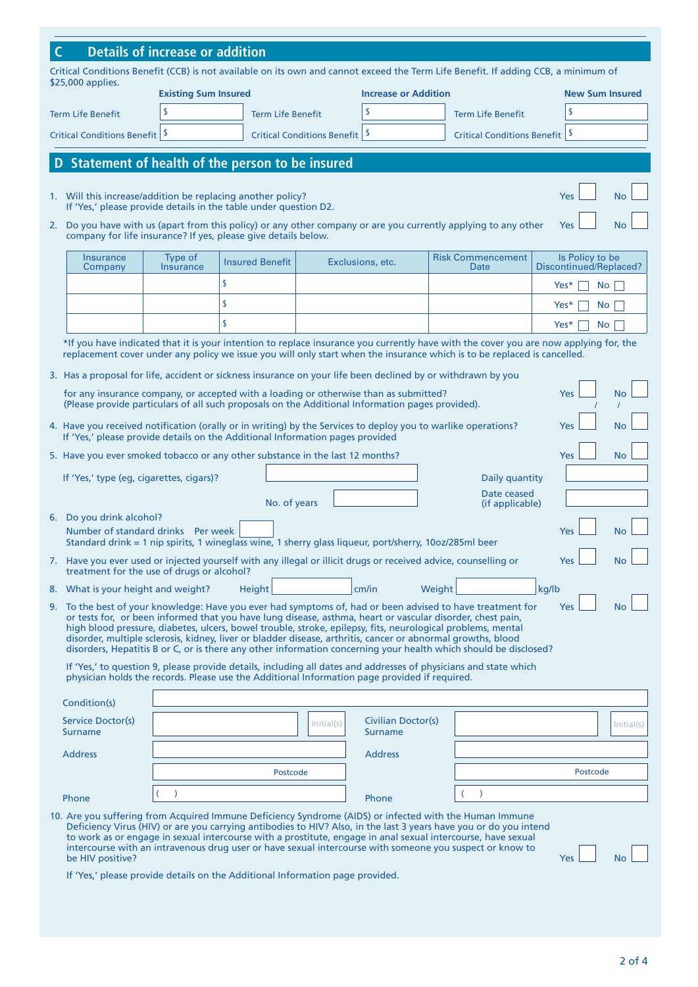| Critical Conditions Benefit (CCB) is not available on its own and cannot exceed the Term Life Benefit. If adding CCB, a minimum of<br>\$25,000 applies.<br><b>Existing Sum Insured</b><br><b>Increase or Addition</b><br><b>New Sum Insured</b><br>S<br><sup>s</sup><br>\$<br><b>Term Life Benefit</b><br><b>Term Life Benefit</b><br><b>Term Life Benefit</b><br>-S<br>-S<br>Critical Conditions Benefit   \$<br><b>Critical Conditions Benefit</b><br><b>Critical Conditions Benefit</b><br>Statement of health of the person to be insured<br>1. Will this increase/addition be replacing another policy?<br>Yes<br>If 'Yes,' please provide details in the table under question D2.<br>2. Do you have with us (apart from this policy) or any other company or are you currently applying to any other<br>Yes<br>company for life insurance? If yes, please give details below.<br><b>Risk Commencement</b><br>Is Policy to be<br>Insurance<br>Type of<br><b>Insured Benefit</b><br>Exclusions, etc.<br><b>Insurance</b><br>Discontinued/Replaced?<br>Company<br>Date<br>\$<br>Yes*<br><b>No</b><br>\$<br>Yes*<br><b>No</b><br>\$<br>Yes*<br><b>No</b><br>replacement cover under any policy we issue you will only start when the insurance which is to be replaced is cancelled.<br>3. Has a proposal for life, accident or sickness insurance on your life been declined by or withdrawn by you<br>for any insurance company, or accepted with a loading or otherwise than as submitted?<br><b>Yes</b><br>(Please provide particulars of all such proposals on the Additional Information pages provided).<br>4. Have you received notification (orally or in writing) by the Services to deploy you to warlike operations?<br>Yes<br>If 'Yes,' please provide details on the Additional Information pages provided<br>5. Have you ever smoked tobacco or any other substance in the last 12 months?<br>Yes<br>If 'Yes,' type (eg, cigarettes, cigars)?<br>Daily quantity<br>Date ceased<br>No. of years<br>(if applicable)<br>6. Do you drink alcohol?<br>Number of standard drinks Per week<br>Standard drink = 1 nip spirits, 1 wineglass wine, 1 sherry glass liqueur, port/sherry, 10oz/285ml beer<br>7. Have you ever used or injected yourself with any illegal or illicit drugs or received advice, counselling or<br>Yes<br>treatment for the use of drugs or alcohol?<br>kg/lb<br>8. What is your height and weight?<br>cm/in<br>Weight<br>Height<br>9. To the best of your knowledge: Have you ever had symptoms of, had or been advised to have treatment for<br>Yes<br>or tests for, or been informed that you have lung disease, asthma, heart or vascular disorder, chest pain,<br>high blood pressure, diabetes, ulcers, bowel trouble, stroke, epilepsy, fits, neurological problems, mental<br>disorder, multiple sclerosis, kidney, liver or bladder disease, arthritis, cancer or abnormal growths, blood<br>disorders, Hepatitis B or C, or is there any other information concerning your health which should be disclosed?<br>If 'Yes,' to question 9, please provide details, including all dates and addresses of physicians and state which<br>physician holds the records. Please use the Additional Information page provided if required.<br>Condition(s)<br>Service Doctor(s)<br>Civilian Doctor(s)<br>Initial(s)<br>Surname<br><b>Surname</b><br><b>Address</b><br><b>Address</b><br>Postcode<br>Postcode<br>Phone<br>Phone<br>10. Are you suffering from Acquired Immune Deficiency Syndrome (AIDS) or infected with the Human Immune<br>Deficiency Virus (HIV) or are you carrying antibodies to HIV? Also, in the last 3 years have you or do you intend<br>to work as or engage in sexual intercourse with a prostitute, engage in anal sexual intercourse, have sexual<br>intercourse with an intravenous drug user or have sexual intercourse with someone you suspect or know to<br>be HIV positive?<br><b>Yes</b><br>Νo |                                        |                                                                                                                                       |  |  |  |  |  |  |  |  |  |  |            |
|-----------------------------------------------------------------------------------------------------------------------------------------------------------------------------------------------------------------------------------------------------------------------------------------------------------------------------------------------------------------------------------------------------------------------------------------------------------------------------------------------------------------------------------------------------------------------------------------------------------------------------------------------------------------------------------------------------------------------------------------------------------------------------------------------------------------------------------------------------------------------------------------------------------------------------------------------------------------------------------------------------------------------------------------------------------------------------------------------------------------------------------------------------------------------------------------------------------------------------------------------------------------------------------------------------------------------------------------------------------------------------------------------------------------------------------------------------------------------------------------------------------------------------------------------------------------------------------------------------------------------------------------------------------------------------------------------------------------------------------------------------------------------------------------------------------------------------------------------------------------------------------------------------------------------------------------------------------------------------------------------------------------------------------------------------------------------------------------------------------------------------------------------------------------------------------------------------------------------------------------------------------------------------------------------------------------------------------------------------------------------------------------------------------------------------------------------------------------------------------------------------------------------------------------------------------------------------------------------------------------------------------------------------------------------------------------------------------------------------------------------------------------------------------------------------------------------------------------------------------------------------------------------------------------------------------------------------------------------------------------------------------------------------------------------------------------------------------------------------------------------------------------------------------------------------------------------------------------------------------------------------------------------------------------------------------------------------------------------------------------------------------------------------------------------------------------------------------------------------------------------------------------------------------------------------------------------------------------------------------------------------------------------------------------------------------------------------------------------------------------------------------------------------------------------------------------------------------------------------------------------------------------------------------------------------------------------------------------------|----------------------------------------|---------------------------------------------------------------------------------------------------------------------------------------|--|--|--|--|--|--|--|--|--|--|------------|
|                                                                                                                                                                                                                                                                                                                                                                                                                                                                                                                                                                                                                                                                                                                                                                                                                                                                                                                                                                                                                                                                                                                                                                                                                                                                                                                                                                                                                                                                                                                                                                                                                                                                                                                                                                                                                                                                                                                                                                                                                                                                                                                                                                                                                                                                                                                                                                                                                                                                                                                                                                                                                                                                                                                                                                                                                                                                                                                                                                                                                                                                                                                                                                                                                                                                                                                                                                                                                                                                                                                                                                                                                                                                                                                                                                                                                                                                                                                                                                       | <b>Details of increase or addition</b> |                                                                                                                                       |  |  |  |  |  |  |  |  |  |  |            |
|                                                                                                                                                                                                                                                                                                                                                                                                                                                                                                                                                                                                                                                                                                                                                                                                                                                                                                                                                                                                                                                                                                                                                                                                                                                                                                                                                                                                                                                                                                                                                                                                                                                                                                                                                                                                                                                                                                                                                                                                                                                                                                                                                                                                                                                                                                                                                                                                                                                                                                                                                                                                                                                                                                                                                                                                                                                                                                                                                                                                                                                                                                                                                                                                                                                                                                                                                                                                                                                                                                                                                                                                                                                                                                                                                                                                                                                                                                                                                                       |                                        |                                                                                                                                       |  |  |  |  |  |  |  |  |  |  |            |
|                                                                                                                                                                                                                                                                                                                                                                                                                                                                                                                                                                                                                                                                                                                                                                                                                                                                                                                                                                                                                                                                                                                                                                                                                                                                                                                                                                                                                                                                                                                                                                                                                                                                                                                                                                                                                                                                                                                                                                                                                                                                                                                                                                                                                                                                                                                                                                                                                                                                                                                                                                                                                                                                                                                                                                                                                                                                                                                                                                                                                                                                                                                                                                                                                                                                                                                                                                                                                                                                                                                                                                                                                                                                                                                                                                                                                                                                                                                                                                       |                                        |                                                                                                                                       |  |  |  |  |  |  |  |  |  |  |            |
|                                                                                                                                                                                                                                                                                                                                                                                                                                                                                                                                                                                                                                                                                                                                                                                                                                                                                                                                                                                                                                                                                                                                                                                                                                                                                                                                                                                                                                                                                                                                                                                                                                                                                                                                                                                                                                                                                                                                                                                                                                                                                                                                                                                                                                                                                                                                                                                                                                                                                                                                                                                                                                                                                                                                                                                                                                                                                                                                                                                                                                                                                                                                                                                                                                                                                                                                                                                                                                                                                                                                                                                                                                                                                                                                                                                                                                                                                                                                                                       |                                        |                                                                                                                                       |  |  |  |  |  |  |  |  |  |  |            |
|                                                                                                                                                                                                                                                                                                                                                                                                                                                                                                                                                                                                                                                                                                                                                                                                                                                                                                                                                                                                                                                                                                                                                                                                                                                                                                                                                                                                                                                                                                                                                                                                                                                                                                                                                                                                                                                                                                                                                                                                                                                                                                                                                                                                                                                                                                                                                                                                                                                                                                                                                                                                                                                                                                                                                                                                                                                                                                                                                                                                                                                                                                                                                                                                                                                                                                                                                                                                                                                                                                                                                                                                                                                                                                                                                                                                                                                                                                                                                                       |                                        |                                                                                                                                       |  |  |  |  |  |  |  |  |  |  |            |
|                                                                                                                                                                                                                                                                                                                                                                                                                                                                                                                                                                                                                                                                                                                                                                                                                                                                                                                                                                                                                                                                                                                                                                                                                                                                                                                                                                                                                                                                                                                                                                                                                                                                                                                                                                                                                                                                                                                                                                                                                                                                                                                                                                                                                                                                                                                                                                                                                                                                                                                                                                                                                                                                                                                                                                                                                                                                                                                                                                                                                                                                                                                                                                                                                                                                                                                                                                                                                                                                                                                                                                                                                                                                                                                                                                                                                                                                                                                                                                       |                                        |                                                                                                                                       |  |  |  |  |  |  |  |  |  |  |            |
|                                                                                                                                                                                                                                                                                                                                                                                                                                                                                                                                                                                                                                                                                                                                                                                                                                                                                                                                                                                                                                                                                                                                                                                                                                                                                                                                                                                                                                                                                                                                                                                                                                                                                                                                                                                                                                                                                                                                                                                                                                                                                                                                                                                                                                                                                                                                                                                                                                                                                                                                                                                                                                                                                                                                                                                                                                                                                                                                                                                                                                                                                                                                                                                                                                                                                                                                                                                                                                                                                                                                                                                                                                                                                                                                                                                                                                                                                                                                                                       |                                        |                                                                                                                                       |  |  |  |  |  |  |  |  |  |  | <b>No</b>  |
|                                                                                                                                                                                                                                                                                                                                                                                                                                                                                                                                                                                                                                                                                                                                                                                                                                                                                                                                                                                                                                                                                                                                                                                                                                                                                                                                                                                                                                                                                                                                                                                                                                                                                                                                                                                                                                                                                                                                                                                                                                                                                                                                                                                                                                                                                                                                                                                                                                                                                                                                                                                                                                                                                                                                                                                                                                                                                                                                                                                                                                                                                                                                                                                                                                                                                                                                                                                                                                                                                                                                                                                                                                                                                                                                                                                                                                                                                                                                                                       |                                        | <b>No</b>                                                                                                                             |  |  |  |  |  |  |  |  |  |  |            |
|                                                                                                                                                                                                                                                                                                                                                                                                                                                                                                                                                                                                                                                                                                                                                                                                                                                                                                                                                                                                                                                                                                                                                                                                                                                                                                                                                                                                                                                                                                                                                                                                                                                                                                                                                                                                                                                                                                                                                                                                                                                                                                                                                                                                                                                                                                                                                                                                                                                                                                                                                                                                                                                                                                                                                                                                                                                                                                                                                                                                                                                                                                                                                                                                                                                                                                                                                                                                                                                                                                                                                                                                                                                                                                                                                                                                                                                                                                                                                                       |                                        |                                                                                                                                       |  |  |  |  |  |  |  |  |  |  |            |
|                                                                                                                                                                                                                                                                                                                                                                                                                                                                                                                                                                                                                                                                                                                                                                                                                                                                                                                                                                                                                                                                                                                                                                                                                                                                                                                                                                                                                                                                                                                                                                                                                                                                                                                                                                                                                                                                                                                                                                                                                                                                                                                                                                                                                                                                                                                                                                                                                                                                                                                                                                                                                                                                                                                                                                                                                                                                                                                                                                                                                                                                                                                                                                                                                                                                                                                                                                                                                                                                                                                                                                                                                                                                                                                                                                                                                                                                                                                                                                       |                                        |                                                                                                                                       |  |  |  |  |  |  |  |  |  |  |            |
|                                                                                                                                                                                                                                                                                                                                                                                                                                                                                                                                                                                                                                                                                                                                                                                                                                                                                                                                                                                                                                                                                                                                                                                                                                                                                                                                                                                                                                                                                                                                                                                                                                                                                                                                                                                                                                                                                                                                                                                                                                                                                                                                                                                                                                                                                                                                                                                                                                                                                                                                                                                                                                                                                                                                                                                                                                                                                                                                                                                                                                                                                                                                                                                                                                                                                                                                                                                                                                                                                                                                                                                                                                                                                                                                                                                                                                                                                                                                                                       |                                        |                                                                                                                                       |  |  |  |  |  |  |  |  |  |  |            |
|                                                                                                                                                                                                                                                                                                                                                                                                                                                                                                                                                                                                                                                                                                                                                                                                                                                                                                                                                                                                                                                                                                                                                                                                                                                                                                                                                                                                                                                                                                                                                                                                                                                                                                                                                                                                                                                                                                                                                                                                                                                                                                                                                                                                                                                                                                                                                                                                                                                                                                                                                                                                                                                                                                                                                                                                                                                                                                                                                                                                                                                                                                                                                                                                                                                                                                                                                                                                                                                                                                                                                                                                                                                                                                                                                                                                                                                                                                                                                                       |                                        |                                                                                                                                       |  |  |  |  |  |  |  |  |  |  |            |
|                                                                                                                                                                                                                                                                                                                                                                                                                                                                                                                                                                                                                                                                                                                                                                                                                                                                                                                                                                                                                                                                                                                                                                                                                                                                                                                                                                                                                                                                                                                                                                                                                                                                                                                                                                                                                                                                                                                                                                                                                                                                                                                                                                                                                                                                                                                                                                                                                                                                                                                                                                                                                                                                                                                                                                                                                                                                                                                                                                                                                                                                                                                                                                                                                                                                                                                                                                                                                                                                                                                                                                                                                                                                                                                                                                                                                                                                                                                                                                       |                                        | *If you have indicated that it is your intention to replace insurance you currently have with the cover you are now applying for, the |  |  |  |  |  |  |  |  |  |  |            |
|                                                                                                                                                                                                                                                                                                                                                                                                                                                                                                                                                                                                                                                                                                                                                                                                                                                                                                                                                                                                                                                                                                                                                                                                                                                                                                                                                                                                                                                                                                                                                                                                                                                                                                                                                                                                                                                                                                                                                                                                                                                                                                                                                                                                                                                                                                                                                                                                                                                                                                                                                                                                                                                                                                                                                                                                                                                                                                                                                                                                                                                                                                                                                                                                                                                                                                                                                                                                                                                                                                                                                                                                                                                                                                                                                                                                                                                                                                                                                                       |                                        |                                                                                                                                       |  |  |  |  |  |  |  |  |  |  |            |
|                                                                                                                                                                                                                                                                                                                                                                                                                                                                                                                                                                                                                                                                                                                                                                                                                                                                                                                                                                                                                                                                                                                                                                                                                                                                                                                                                                                                                                                                                                                                                                                                                                                                                                                                                                                                                                                                                                                                                                                                                                                                                                                                                                                                                                                                                                                                                                                                                                                                                                                                                                                                                                                                                                                                                                                                                                                                                                                                                                                                                                                                                                                                                                                                                                                                                                                                                                                                                                                                                                                                                                                                                                                                                                                                                                                                                                                                                                                                                                       |                                        |                                                                                                                                       |  |  |  |  |  |  |  |  |  |  | No         |
|                                                                                                                                                                                                                                                                                                                                                                                                                                                                                                                                                                                                                                                                                                                                                                                                                                                                                                                                                                                                                                                                                                                                                                                                                                                                                                                                                                                                                                                                                                                                                                                                                                                                                                                                                                                                                                                                                                                                                                                                                                                                                                                                                                                                                                                                                                                                                                                                                                                                                                                                                                                                                                                                                                                                                                                                                                                                                                                                                                                                                                                                                                                                                                                                                                                                                                                                                                                                                                                                                                                                                                                                                                                                                                                                                                                                                                                                                                                                                                       |                                        |                                                                                                                                       |  |  |  |  |  |  |  |  |  |  | No         |
|                                                                                                                                                                                                                                                                                                                                                                                                                                                                                                                                                                                                                                                                                                                                                                                                                                                                                                                                                                                                                                                                                                                                                                                                                                                                                                                                                                                                                                                                                                                                                                                                                                                                                                                                                                                                                                                                                                                                                                                                                                                                                                                                                                                                                                                                                                                                                                                                                                                                                                                                                                                                                                                                                                                                                                                                                                                                                                                                                                                                                                                                                                                                                                                                                                                                                                                                                                                                                                                                                                                                                                                                                                                                                                                                                                                                                                                                                                                                                                       |                                        |                                                                                                                                       |  |  |  |  |  |  |  |  |  |  | <b>No</b>  |
|                                                                                                                                                                                                                                                                                                                                                                                                                                                                                                                                                                                                                                                                                                                                                                                                                                                                                                                                                                                                                                                                                                                                                                                                                                                                                                                                                                                                                                                                                                                                                                                                                                                                                                                                                                                                                                                                                                                                                                                                                                                                                                                                                                                                                                                                                                                                                                                                                                                                                                                                                                                                                                                                                                                                                                                                                                                                                                                                                                                                                                                                                                                                                                                                                                                                                                                                                                                                                                                                                                                                                                                                                                                                                                                                                                                                                                                                                                                                                                       |                                        |                                                                                                                                       |  |  |  |  |  |  |  |  |  |  |            |
|                                                                                                                                                                                                                                                                                                                                                                                                                                                                                                                                                                                                                                                                                                                                                                                                                                                                                                                                                                                                                                                                                                                                                                                                                                                                                                                                                                                                                                                                                                                                                                                                                                                                                                                                                                                                                                                                                                                                                                                                                                                                                                                                                                                                                                                                                                                                                                                                                                                                                                                                                                                                                                                                                                                                                                                                                                                                                                                                                                                                                                                                                                                                                                                                                                                                                                                                                                                                                                                                                                                                                                                                                                                                                                                                                                                                                                                                                                                                                                       |                                        |                                                                                                                                       |  |  |  |  |  |  |  |  |  |  |            |
|                                                                                                                                                                                                                                                                                                                                                                                                                                                                                                                                                                                                                                                                                                                                                                                                                                                                                                                                                                                                                                                                                                                                                                                                                                                                                                                                                                                                                                                                                                                                                                                                                                                                                                                                                                                                                                                                                                                                                                                                                                                                                                                                                                                                                                                                                                                                                                                                                                                                                                                                                                                                                                                                                                                                                                                                                                                                                                                                                                                                                                                                                                                                                                                                                                                                                                                                                                                                                                                                                                                                                                                                                                                                                                                                                                                                                                                                                                                                                                       |                                        |                                                                                                                                       |  |  |  |  |  |  |  |  |  |  |            |
|                                                                                                                                                                                                                                                                                                                                                                                                                                                                                                                                                                                                                                                                                                                                                                                                                                                                                                                                                                                                                                                                                                                                                                                                                                                                                                                                                                                                                                                                                                                                                                                                                                                                                                                                                                                                                                                                                                                                                                                                                                                                                                                                                                                                                                                                                                                                                                                                                                                                                                                                                                                                                                                                                                                                                                                                                                                                                                                                                                                                                                                                                                                                                                                                                                                                                                                                                                                                                                                                                                                                                                                                                                                                                                                                                                                                                                                                                                                                                                       |                                        |                                                                                                                                       |  |  |  |  |  |  |  |  |  |  | No         |
|                                                                                                                                                                                                                                                                                                                                                                                                                                                                                                                                                                                                                                                                                                                                                                                                                                                                                                                                                                                                                                                                                                                                                                                                                                                                                                                                                                                                                                                                                                                                                                                                                                                                                                                                                                                                                                                                                                                                                                                                                                                                                                                                                                                                                                                                                                                                                                                                                                                                                                                                                                                                                                                                                                                                                                                                                                                                                                                                                                                                                                                                                                                                                                                                                                                                                                                                                                                                                                                                                                                                                                                                                                                                                                                                                                                                                                                                                                                                                                       |                                        | No.                                                                                                                                   |  |  |  |  |  |  |  |  |  |  |            |
|                                                                                                                                                                                                                                                                                                                                                                                                                                                                                                                                                                                                                                                                                                                                                                                                                                                                                                                                                                                                                                                                                                                                                                                                                                                                                                                                                                                                                                                                                                                                                                                                                                                                                                                                                                                                                                                                                                                                                                                                                                                                                                                                                                                                                                                                                                                                                                                                                                                                                                                                                                                                                                                                                                                                                                                                                                                                                                                                                                                                                                                                                                                                                                                                                                                                                                                                                                                                                                                                                                                                                                                                                                                                                                                                                                                                                                                                                                                                                                       |                                        |                                                                                                                                       |  |  |  |  |  |  |  |  |  |  |            |
|                                                                                                                                                                                                                                                                                                                                                                                                                                                                                                                                                                                                                                                                                                                                                                                                                                                                                                                                                                                                                                                                                                                                                                                                                                                                                                                                                                                                                                                                                                                                                                                                                                                                                                                                                                                                                                                                                                                                                                                                                                                                                                                                                                                                                                                                                                                                                                                                                                                                                                                                                                                                                                                                                                                                                                                                                                                                                                                                                                                                                                                                                                                                                                                                                                                                                                                                                                                                                                                                                                                                                                                                                                                                                                                                                                                                                                                                                                                                                                       |                                        | <b>No</b>                                                                                                                             |  |  |  |  |  |  |  |  |  |  |            |
|                                                                                                                                                                                                                                                                                                                                                                                                                                                                                                                                                                                                                                                                                                                                                                                                                                                                                                                                                                                                                                                                                                                                                                                                                                                                                                                                                                                                                                                                                                                                                                                                                                                                                                                                                                                                                                                                                                                                                                                                                                                                                                                                                                                                                                                                                                                                                                                                                                                                                                                                                                                                                                                                                                                                                                                                                                                                                                                                                                                                                                                                                                                                                                                                                                                                                                                                                                                                                                                                                                                                                                                                                                                                                                                                                                                                                                                                                                                                                                       |                                        |                                                                                                                                       |  |  |  |  |  |  |  |  |  |  |            |
|                                                                                                                                                                                                                                                                                                                                                                                                                                                                                                                                                                                                                                                                                                                                                                                                                                                                                                                                                                                                                                                                                                                                                                                                                                                                                                                                                                                                                                                                                                                                                                                                                                                                                                                                                                                                                                                                                                                                                                                                                                                                                                                                                                                                                                                                                                                                                                                                                                                                                                                                                                                                                                                                                                                                                                                                                                                                                                                                                                                                                                                                                                                                                                                                                                                                                                                                                                                                                                                                                                                                                                                                                                                                                                                                                                                                                                                                                                                                                                       |                                        |                                                                                                                                       |  |  |  |  |  |  |  |  |  |  | Initial(s) |
|                                                                                                                                                                                                                                                                                                                                                                                                                                                                                                                                                                                                                                                                                                                                                                                                                                                                                                                                                                                                                                                                                                                                                                                                                                                                                                                                                                                                                                                                                                                                                                                                                                                                                                                                                                                                                                                                                                                                                                                                                                                                                                                                                                                                                                                                                                                                                                                                                                                                                                                                                                                                                                                                                                                                                                                                                                                                                                                                                                                                                                                                                                                                                                                                                                                                                                                                                                                                                                                                                                                                                                                                                                                                                                                                                                                                                                                                                                                                                                       |                                        |                                                                                                                                       |  |  |  |  |  |  |  |  |  |  |            |
|                                                                                                                                                                                                                                                                                                                                                                                                                                                                                                                                                                                                                                                                                                                                                                                                                                                                                                                                                                                                                                                                                                                                                                                                                                                                                                                                                                                                                                                                                                                                                                                                                                                                                                                                                                                                                                                                                                                                                                                                                                                                                                                                                                                                                                                                                                                                                                                                                                                                                                                                                                                                                                                                                                                                                                                                                                                                                                                                                                                                                                                                                                                                                                                                                                                                                                                                                                                                                                                                                                                                                                                                                                                                                                                                                                                                                                                                                                                                                                       |                                        |                                                                                                                                       |  |  |  |  |  |  |  |  |  |  |            |
|                                                                                                                                                                                                                                                                                                                                                                                                                                                                                                                                                                                                                                                                                                                                                                                                                                                                                                                                                                                                                                                                                                                                                                                                                                                                                                                                                                                                                                                                                                                                                                                                                                                                                                                                                                                                                                                                                                                                                                                                                                                                                                                                                                                                                                                                                                                                                                                                                                                                                                                                                                                                                                                                                                                                                                                                                                                                                                                                                                                                                                                                                                                                                                                                                                                                                                                                                                                                                                                                                                                                                                                                                                                                                                                                                                                                                                                                                                                                                                       |                                        |                                                                                                                                       |  |  |  |  |  |  |  |  |  |  |            |
| If 'Yes,' please provide details on the Additional Information page provided.                                                                                                                                                                                                                                                                                                                                                                                                                                                                                                                                                                                                                                                                                                                                                                                                                                                                                                                                                                                                                                                                                                                                                                                                                                                                                                                                                                                                                                                                                                                                                                                                                                                                                                                                                                                                                                                                                                                                                                                                                                                                                                                                                                                                                                                                                                                                                                                                                                                                                                                                                                                                                                                                                                                                                                                                                                                                                                                                                                                                                                                                                                                                                                                                                                                                                                                                                                                                                                                                                                                                                                                                                                                                                                                                                                                                                                                                                         |                                        |                                                                                                                                       |  |  |  |  |  |  |  |  |  |  |            |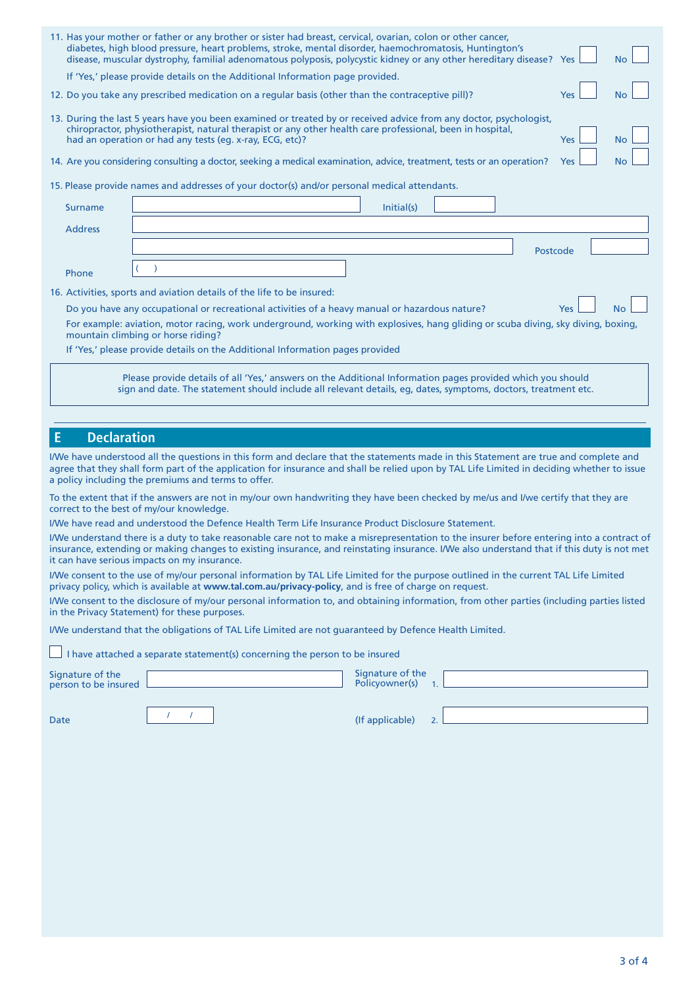| 11. Has your mother or father or any brother or sister had breast, cervical, ovarian, colon or other cancer,<br>diabetes, high blood pressure, heart problems, stroke, mental disorder, haemochromatosis, Huntington's<br>disease, muscular dystrophy, familial adenomatous polyposis, polycystic kidney or any other hereditary disease? Yes<br><b>No</b><br>If 'Yes,' please provide details on the Additional Information page provided.<br>12. Do you take any prescribed medication on a regular basis (other than the contraceptive pill)?<br>No<br>Yes<br>13. During the last 5 years have you been examined or treated by or received advice from any doctor, psychologist,<br>chiropractor, physiotherapist, natural therapist or any other health care professional, been in hospital,<br>had an operation or had any tests (eg. x-ray, ECG, etc)?<br><b>Yes</b><br>No<br>14. Are you considering consulting a doctor, seeking a medical examination, advice, treatment, tests or an operation?<br>Yes<br>15. Please provide names and addresses of your doctor(s) and/or personal medical attendants.<br>Initial(s)<br><b>Surname</b><br><b>Address</b><br>Postcode<br>Phone<br>16. Activities, sports and aviation details of the life to be insured:<br>Do you have any occupational or recreational activities of a heavy manual or hazardous nature?<br><b>No</b><br><b>Yes</b><br>For example: aviation, motor racing, work underground, working with explosives, hang gliding or scuba diving, sky diving, boxing,<br>mountain climbing or horse riding?<br>If 'Yes,' please provide details on the Additional Information pages provided<br>Please provide details of all 'Yes,' answers on the Additional Information pages provided which you should<br>sign and date. The statement should include all relevant details, eg, dates, symptoms, doctors, treatment etc.<br><b>Declaration</b><br>Ε<br>I/We have understood all the questions in this form and declare that the statements made in this Statement are true and complete and<br>agree that they shall form part of the application for insurance and shall be relied upon by TAL Life Limited in deciding whether to issue<br>a policy including the premiums and terms to offer.<br>To the extent that if the answers are not in my/our own handwriting they have been checked by me/us and I/we certify that they are<br>correct to the best of my/our knowledge.<br>I/We have read and understood the Defence Health Term Life Insurance Product Disclosure Statement.<br>it can have serious impacts on my insurance.<br>I/We consent to the use of my/our personal information by TAL Life Limited for the purpose outlined in the current TAL Life Limited<br>privacy policy, which is available at www.tal.com.au/privacy-policy, and is free of charge on request.<br>I/We consent to the disclosure of my/our personal information to, and obtaining information, from other parties (including parties listed<br>in the Privacy Statement) for these purposes.<br>I/We understand that the obligations of TAL Life Limited are not guaranteed by Defence Health Limited.<br>I have attached a separate statement(s) concerning the person to be insured<br>Signature of the<br>Policyowner(s)<br>person to be insured<br>$\overline{1}$ .<br>$\mathcal{L}$<br>(If applicable)<br>Date<br>2. |                  |  |  |  |
|----------------------------------------------------------------------------------------------------------------------------------------------------------------------------------------------------------------------------------------------------------------------------------------------------------------------------------------------------------------------------------------------------------------------------------------------------------------------------------------------------------------------------------------------------------------------------------------------------------------------------------------------------------------------------------------------------------------------------------------------------------------------------------------------------------------------------------------------------------------------------------------------------------------------------------------------------------------------------------------------------------------------------------------------------------------------------------------------------------------------------------------------------------------------------------------------------------------------------------------------------------------------------------------------------------------------------------------------------------------------------------------------------------------------------------------------------------------------------------------------------------------------------------------------------------------------------------------------------------------------------------------------------------------------------------------------------------------------------------------------------------------------------------------------------------------------------------------------------------------------------------------------------------------------------------------------------------------------------------------------------------------------------------------------------------------------------------------------------------------------------------------------------------------------------------------------------------------------------------------------------------------------------------------------------------------------------------------------------------------------------------------------------------------------------------------------------------------------------------------------------------------------------------------------------------------------------------------------------------------------------------------------------------------------------------------------------------------------------------------------------------------------------------------------------------------------------------------------------------------------------------------------------------------------------------------------------------------------------------------------------------------------------------------------------------------------------------------------------------------------------------------------------------------------------------------------------------------------------------------------------------------------------------------------------------------------------------------------------------------------------------------|------------------|--|--|--|
| I/We understand there is a duty to take reasonable care not to make a misrepresentation to the insurer before entering into a contract of                                                                                                                                                                                                                                                                                                                                                                                                                                                                                                                                                                                                                                                                                                                                                                                                                                                                                                                                                                                                                                                                                                                                                                                                                                                                                                                                                                                                                                                                                                                                                                                                                                                                                                                                                                                                                                                                                                                                                                                                                                                                                                                                                                                                                                                                                                                                                                                                                                                                                                                                                                                                                                                                                                                                                                                                                                                                                                                                                                                                                                                                                                                                                                                                                                              |                  |  |  |  |
|                                                                                                                                                                                                                                                                                                                                                                                                                                                                                                                                                                                                                                                                                                                                                                                                                                                                                                                                                                                                                                                                                                                                                                                                                                                                                                                                                                                                                                                                                                                                                                                                                                                                                                                                                                                                                                                                                                                                                                                                                                                                                                                                                                                                                                                                                                                                                                                                                                                                                                                                                                                                                                                                                                                                                                                                                                                                                                                                                                                                                                                                                                                                                                                                                                                                                                                                                                                        |                  |  |  |  |
|                                                                                                                                                                                                                                                                                                                                                                                                                                                                                                                                                                                                                                                                                                                                                                                                                                                                                                                                                                                                                                                                                                                                                                                                                                                                                                                                                                                                                                                                                                                                                                                                                                                                                                                                                                                                                                                                                                                                                                                                                                                                                                                                                                                                                                                                                                                                                                                                                                                                                                                                                                                                                                                                                                                                                                                                                                                                                                                                                                                                                                                                                                                                                                                                                                                                                                                                                                                        |                  |  |  |  |
|                                                                                                                                                                                                                                                                                                                                                                                                                                                                                                                                                                                                                                                                                                                                                                                                                                                                                                                                                                                                                                                                                                                                                                                                                                                                                                                                                                                                                                                                                                                                                                                                                                                                                                                                                                                                                                                                                                                                                                                                                                                                                                                                                                                                                                                                                                                                                                                                                                                                                                                                                                                                                                                                                                                                                                                                                                                                                                                                                                                                                                                                                                                                                                                                                                                                                                                                                                                        |                  |  |  |  |
|                                                                                                                                                                                                                                                                                                                                                                                                                                                                                                                                                                                                                                                                                                                                                                                                                                                                                                                                                                                                                                                                                                                                                                                                                                                                                                                                                                                                                                                                                                                                                                                                                                                                                                                                                                                                                                                                                                                                                                                                                                                                                                                                                                                                                                                                                                                                                                                                                                                                                                                                                                                                                                                                                                                                                                                                                                                                                                                                                                                                                                                                                                                                                                                                                                                                                                                                                                                        |                  |  |  |  |
|                                                                                                                                                                                                                                                                                                                                                                                                                                                                                                                                                                                                                                                                                                                                                                                                                                                                                                                                                                                                                                                                                                                                                                                                                                                                                                                                                                                                                                                                                                                                                                                                                                                                                                                                                                                                                                                                                                                                                                                                                                                                                                                                                                                                                                                                                                                                                                                                                                                                                                                                                                                                                                                                                                                                                                                                                                                                                                                                                                                                                                                                                                                                                                                                                                                                                                                                                                                        |                  |  |  |  |
|                                                                                                                                                                                                                                                                                                                                                                                                                                                                                                                                                                                                                                                                                                                                                                                                                                                                                                                                                                                                                                                                                                                                                                                                                                                                                                                                                                                                                                                                                                                                                                                                                                                                                                                                                                                                                                                                                                                                                                                                                                                                                                                                                                                                                                                                                                                                                                                                                                                                                                                                                                                                                                                                                                                                                                                                                                                                                                                                                                                                                                                                                                                                                                                                                                                                                                                                                                                        |                  |  |  |  |
|                                                                                                                                                                                                                                                                                                                                                                                                                                                                                                                                                                                                                                                                                                                                                                                                                                                                                                                                                                                                                                                                                                                                                                                                                                                                                                                                                                                                                                                                                                                                                                                                                                                                                                                                                                                                                                                                                                                                                                                                                                                                                                                                                                                                                                                                                                                                                                                                                                                                                                                                                                                                                                                                                                                                                                                                                                                                                                                                                                                                                                                                                                                                                                                                                                                                                                                                                                                        |                  |  |  |  |
|                                                                                                                                                                                                                                                                                                                                                                                                                                                                                                                                                                                                                                                                                                                                                                                                                                                                                                                                                                                                                                                                                                                                                                                                                                                                                                                                                                                                                                                                                                                                                                                                                                                                                                                                                                                                                                                                                                                                                                                                                                                                                                                                                                                                                                                                                                                                                                                                                                                                                                                                                                                                                                                                                                                                                                                                                                                                                                                                                                                                                                                                                                                                                                                                                                                                                                                                                                                        |                  |  |  |  |
|                                                                                                                                                                                                                                                                                                                                                                                                                                                                                                                                                                                                                                                                                                                                                                                                                                                                                                                                                                                                                                                                                                                                                                                                                                                                                                                                                                                                                                                                                                                                                                                                                                                                                                                                                                                                                                                                                                                                                                                                                                                                                                                                                                                                                                                                                                                                                                                                                                                                                                                                                                                                                                                                                                                                                                                                                                                                                                                                                                                                                                                                                                                                                                                                                                                                                                                                                                                        |                  |  |  |  |
| insurance, extending or making changes to existing insurance, and reinstating insurance. I/We also understand that if this duty is not met                                                                                                                                                                                                                                                                                                                                                                                                                                                                                                                                                                                                                                                                                                                                                                                                                                                                                                                                                                                                                                                                                                                                                                                                                                                                                                                                                                                                                                                                                                                                                                                                                                                                                                                                                                                                                                                                                                                                                                                                                                                                                                                                                                                                                                                                                                                                                                                                                                                                                                                                                                                                                                                                                                                                                                                                                                                                                                                                                                                                                                                                                                                                                                                                                                             |                  |  |  |  |
|                                                                                                                                                                                                                                                                                                                                                                                                                                                                                                                                                                                                                                                                                                                                                                                                                                                                                                                                                                                                                                                                                                                                                                                                                                                                                                                                                                                                                                                                                                                                                                                                                                                                                                                                                                                                                                                                                                                                                                                                                                                                                                                                                                                                                                                                                                                                                                                                                                                                                                                                                                                                                                                                                                                                                                                                                                                                                                                                                                                                                                                                                                                                                                                                                                                                                                                                                                                        |                  |  |  |  |
|                                                                                                                                                                                                                                                                                                                                                                                                                                                                                                                                                                                                                                                                                                                                                                                                                                                                                                                                                                                                                                                                                                                                                                                                                                                                                                                                                                                                                                                                                                                                                                                                                                                                                                                                                                                                                                                                                                                                                                                                                                                                                                                                                                                                                                                                                                                                                                                                                                                                                                                                                                                                                                                                                                                                                                                                                                                                                                                                                                                                                                                                                                                                                                                                                                                                                                                                                                                        |                  |  |  |  |
|                                                                                                                                                                                                                                                                                                                                                                                                                                                                                                                                                                                                                                                                                                                                                                                                                                                                                                                                                                                                                                                                                                                                                                                                                                                                                                                                                                                                                                                                                                                                                                                                                                                                                                                                                                                                                                                                                                                                                                                                                                                                                                                                                                                                                                                                                                                                                                                                                                                                                                                                                                                                                                                                                                                                                                                                                                                                                                                                                                                                                                                                                                                                                                                                                                                                                                                                                                                        |                  |  |  |  |
|                                                                                                                                                                                                                                                                                                                                                                                                                                                                                                                                                                                                                                                                                                                                                                                                                                                                                                                                                                                                                                                                                                                                                                                                                                                                                                                                                                                                                                                                                                                                                                                                                                                                                                                                                                                                                                                                                                                                                                                                                                                                                                                                                                                                                                                                                                                                                                                                                                                                                                                                                                                                                                                                                                                                                                                                                                                                                                                                                                                                                                                                                                                                                                                                                                                                                                                                                                                        |                  |  |  |  |
|                                                                                                                                                                                                                                                                                                                                                                                                                                                                                                                                                                                                                                                                                                                                                                                                                                                                                                                                                                                                                                                                                                                                                                                                                                                                                                                                                                                                                                                                                                                                                                                                                                                                                                                                                                                                                                                                                                                                                                                                                                                                                                                                                                                                                                                                                                                                                                                                                                                                                                                                                                                                                                                                                                                                                                                                                                                                                                                                                                                                                                                                                                                                                                                                                                                                                                                                                                                        |                  |  |  |  |
|                                                                                                                                                                                                                                                                                                                                                                                                                                                                                                                                                                                                                                                                                                                                                                                                                                                                                                                                                                                                                                                                                                                                                                                                                                                                                                                                                                                                                                                                                                                                                                                                                                                                                                                                                                                                                                                                                                                                                                                                                                                                                                                                                                                                                                                                                                                                                                                                                                                                                                                                                                                                                                                                                                                                                                                                                                                                                                                                                                                                                                                                                                                                                                                                                                                                                                                                                                                        |                  |  |  |  |
|                                                                                                                                                                                                                                                                                                                                                                                                                                                                                                                                                                                                                                                                                                                                                                                                                                                                                                                                                                                                                                                                                                                                                                                                                                                                                                                                                                                                                                                                                                                                                                                                                                                                                                                                                                                                                                                                                                                                                                                                                                                                                                                                                                                                                                                                                                                                                                                                                                                                                                                                                                                                                                                                                                                                                                                                                                                                                                                                                                                                                                                                                                                                                                                                                                                                                                                                                                                        |                  |  |  |  |
|                                                                                                                                                                                                                                                                                                                                                                                                                                                                                                                                                                                                                                                                                                                                                                                                                                                                                                                                                                                                                                                                                                                                                                                                                                                                                                                                                                                                                                                                                                                                                                                                                                                                                                                                                                                                                                                                                                                                                                                                                                                                                                                                                                                                                                                                                                                                                                                                                                                                                                                                                                                                                                                                                                                                                                                                                                                                                                                                                                                                                                                                                                                                                                                                                                                                                                                                                                                        |                  |  |  |  |
|                                                                                                                                                                                                                                                                                                                                                                                                                                                                                                                                                                                                                                                                                                                                                                                                                                                                                                                                                                                                                                                                                                                                                                                                                                                                                                                                                                                                                                                                                                                                                                                                                                                                                                                                                                                                                                                                                                                                                                                                                                                                                                                                                                                                                                                                                                                                                                                                                                                                                                                                                                                                                                                                                                                                                                                                                                                                                                                                                                                                                                                                                                                                                                                                                                                                                                                                                                                        |                  |  |  |  |
|                                                                                                                                                                                                                                                                                                                                                                                                                                                                                                                                                                                                                                                                                                                                                                                                                                                                                                                                                                                                                                                                                                                                                                                                                                                                                                                                                                                                                                                                                                                                                                                                                                                                                                                                                                                                                                                                                                                                                                                                                                                                                                                                                                                                                                                                                                                                                                                                                                                                                                                                                                                                                                                                                                                                                                                                                                                                                                                                                                                                                                                                                                                                                                                                                                                                                                                                                                                        |                  |  |  |  |
|                                                                                                                                                                                                                                                                                                                                                                                                                                                                                                                                                                                                                                                                                                                                                                                                                                                                                                                                                                                                                                                                                                                                                                                                                                                                                                                                                                                                                                                                                                                                                                                                                                                                                                                                                                                                                                                                                                                                                                                                                                                                                                                                                                                                                                                                                                                                                                                                                                                                                                                                                                                                                                                                                                                                                                                                                                                                                                                                                                                                                                                                                                                                                                                                                                                                                                                                                                                        |                  |  |  |  |
|                                                                                                                                                                                                                                                                                                                                                                                                                                                                                                                                                                                                                                                                                                                                                                                                                                                                                                                                                                                                                                                                                                                                                                                                                                                                                                                                                                                                                                                                                                                                                                                                                                                                                                                                                                                                                                                                                                                                                                                                                                                                                                                                                                                                                                                                                                                                                                                                                                                                                                                                                                                                                                                                                                                                                                                                                                                                                                                                                                                                                                                                                                                                                                                                                                                                                                                                                                                        |                  |  |  |  |
|                                                                                                                                                                                                                                                                                                                                                                                                                                                                                                                                                                                                                                                                                                                                                                                                                                                                                                                                                                                                                                                                                                                                                                                                                                                                                                                                                                                                                                                                                                                                                                                                                                                                                                                                                                                                                                                                                                                                                                                                                                                                                                                                                                                                                                                                                                                                                                                                                                                                                                                                                                                                                                                                                                                                                                                                                                                                                                                                                                                                                                                                                                                                                                                                                                                                                                                                                                                        |                  |  |  |  |
|                                                                                                                                                                                                                                                                                                                                                                                                                                                                                                                                                                                                                                                                                                                                                                                                                                                                                                                                                                                                                                                                                                                                                                                                                                                                                                                                                                                                                                                                                                                                                                                                                                                                                                                                                                                                                                                                                                                                                                                                                                                                                                                                                                                                                                                                                                                                                                                                                                                                                                                                                                                                                                                                                                                                                                                                                                                                                                                                                                                                                                                                                                                                                                                                                                                                                                                                                                                        |                  |  |  |  |
|                                                                                                                                                                                                                                                                                                                                                                                                                                                                                                                                                                                                                                                                                                                                                                                                                                                                                                                                                                                                                                                                                                                                                                                                                                                                                                                                                                                                                                                                                                                                                                                                                                                                                                                                                                                                                                                                                                                                                                                                                                                                                                                                                                                                                                                                                                                                                                                                                                                                                                                                                                                                                                                                                                                                                                                                                                                                                                                                                                                                                                                                                                                                                                                                                                                                                                                                                                                        |                  |  |  |  |
|                                                                                                                                                                                                                                                                                                                                                                                                                                                                                                                                                                                                                                                                                                                                                                                                                                                                                                                                                                                                                                                                                                                                                                                                                                                                                                                                                                                                                                                                                                                                                                                                                                                                                                                                                                                                                                                                                                                                                                                                                                                                                                                                                                                                                                                                                                                                                                                                                                                                                                                                                                                                                                                                                                                                                                                                                                                                                                                                                                                                                                                                                                                                                                                                                                                                                                                                                                                        |                  |  |  |  |
|                                                                                                                                                                                                                                                                                                                                                                                                                                                                                                                                                                                                                                                                                                                                                                                                                                                                                                                                                                                                                                                                                                                                                                                                                                                                                                                                                                                                                                                                                                                                                                                                                                                                                                                                                                                                                                                                                                                                                                                                                                                                                                                                                                                                                                                                                                                                                                                                                                                                                                                                                                                                                                                                                                                                                                                                                                                                                                                                                                                                                                                                                                                                                                                                                                                                                                                                                                                        |                  |  |  |  |
|                                                                                                                                                                                                                                                                                                                                                                                                                                                                                                                                                                                                                                                                                                                                                                                                                                                                                                                                                                                                                                                                                                                                                                                                                                                                                                                                                                                                                                                                                                                                                                                                                                                                                                                                                                                                                                                                                                                                                                                                                                                                                                                                                                                                                                                                                                                                                                                                                                                                                                                                                                                                                                                                                                                                                                                                                                                                                                                                                                                                                                                                                                                                                                                                                                                                                                                                                                                        | Signature of the |  |  |  |
|                                                                                                                                                                                                                                                                                                                                                                                                                                                                                                                                                                                                                                                                                                                                                                                                                                                                                                                                                                                                                                                                                                                                                                                                                                                                                                                                                                                                                                                                                                                                                                                                                                                                                                                                                                                                                                                                                                                                                                                                                                                                                                                                                                                                                                                                                                                                                                                                                                                                                                                                                                                                                                                                                                                                                                                                                                                                                                                                                                                                                                                                                                                                                                                                                                                                                                                                                                                        |                  |  |  |  |
|                                                                                                                                                                                                                                                                                                                                                                                                                                                                                                                                                                                                                                                                                                                                                                                                                                                                                                                                                                                                                                                                                                                                                                                                                                                                                                                                                                                                                                                                                                                                                                                                                                                                                                                                                                                                                                                                                                                                                                                                                                                                                                                                                                                                                                                                                                                                                                                                                                                                                                                                                                                                                                                                                                                                                                                                                                                                                                                                                                                                                                                                                                                                                                                                                                                                                                                                                                                        |                  |  |  |  |
|                                                                                                                                                                                                                                                                                                                                                                                                                                                                                                                                                                                                                                                                                                                                                                                                                                                                                                                                                                                                                                                                                                                                                                                                                                                                                                                                                                                                                                                                                                                                                                                                                                                                                                                                                                                                                                                                                                                                                                                                                                                                                                                                                                                                                                                                                                                                                                                                                                                                                                                                                                                                                                                                                                                                                                                                                                                                                                                                                                                                                                                                                                                                                                                                                                                                                                                                                                                        |                  |  |  |  |
|                                                                                                                                                                                                                                                                                                                                                                                                                                                                                                                                                                                                                                                                                                                                                                                                                                                                                                                                                                                                                                                                                                                                                                                                                                                                                                                                                                                                                                                                                                                                                                                                                                                                                                                                                                                                                                                                                                                                                                                                                                                                                                                                                                                                                                                                                                                                                                                                                                                                                                                                                                                                                                                                                                                                                                                                                                                                                                                                                                                                                                                                                                                                                                                                                                                                                                                                                                                        |                  |  |  |  |
|                                                                                                                                                                                                                                                                                                                                                                                                                                                                                                                                                                                                                                                                                                                                                                                                                                                                                                                                                                                                                                                                                                                                                                                                                                                                                                                                                                                                                                                                                                                                                                                                                                                                                                                                                                                                                                                                                                                                                                                                                                                                                                                                                                                                                                                                                                                                                                                                                                                                                                                                                                                                                                                                                                                                                                                                                                                                                                                                                                                                                                                                                                                                                                                                                                                                                                                                                                                        |                  |  |  |  |